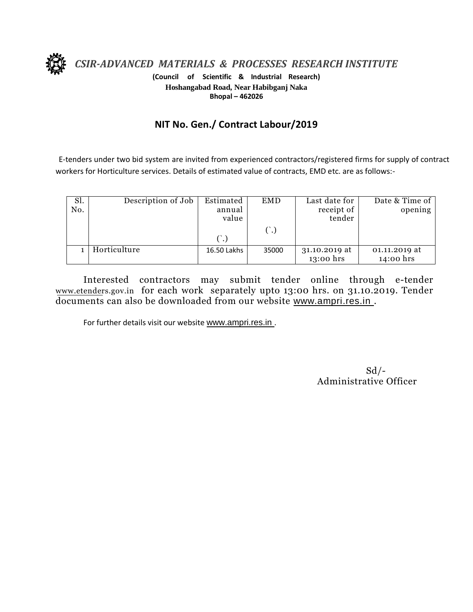

*CSIR-ADVANCED MATERIALS & PROCESSES RESEARCH INSTITUTE*

**(Council of Scientific & Industrial Research) Hoshangabad Road, Near Habibganj Naka Bhopal – 462026**

## **NIT No. Gen./ Contract Labour/2019**

E-tenders under two bid system are invited from experienced contractors/registered firms for supply of contract workers for Horticulture services. Details of estimated value of contracts, EMD etc. are as follows:-

| Sl.<br>No. | Description of Job | Estimated<br>annual<br>value | <b>EMD</b> | Last date for<br>receipt of<br>tender | Date & Time of<br>opening  |
|------------|--------------------|------------------------------|------------|---------------------------------------|----------------------------|
|            |                    |                              |            |                                       |                            |
|            | Horticulture       | 16.50 Lakhs                  | 35000      | 31.10.2019 at<br>13:00 hrs            | 01.11.2019 at<br>14:00 hrs |

Interested contractors may submit tender online through e-tender www.etenders.gov.in for each work separately upto 13:00 hrs. on 31.10.2019. Tender documents can also be downloaded from our website [www.ampri.res.in](http://www.rrlbpl.org/) .

For further details visit our website www.ampri.res.in.

 $Sd$  /-Administrative Officer